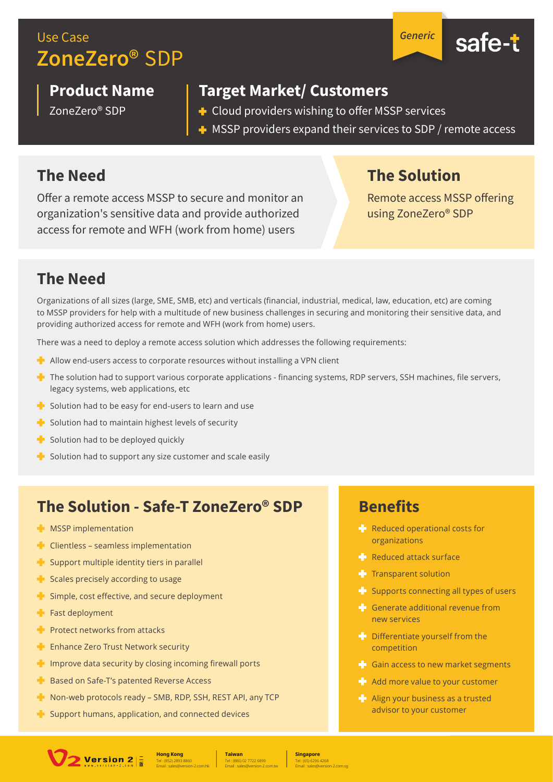## **Use Case** ZoneZero<sup>®</sup> SDP

**Product Name** 

ZoneZero® SDP

**Target Market/ Customers** 

- + Cloud providers wishing to offer MSSP services
- $\blacksquare$  MSSP providers expand their services to SDP / remote access

#### **The Need**

Offer a remote access MSSP to secure and monitor an organization's sensitive data and provide authorized access for remote and WFH (work from home) users

**The Solution** 

**Generic** 

safe-t

Remote access MSSP offering using ZoneZero® SDP

### **The Need**

Organizations of all sizes (large, SME, SMB, etc) and verticals (financial, industrial, medical, law, education, etc) are coming to MSSP providers for help with a multitude of new business challenges in securing and monitoring their sensitive data, and providing authorized access for remote and WFH (work from home) users.

There was a need to deploy a remote access solution which addresses the following requirements:

- Allow end-users access to corporate resources without installing a VPN client
- The solution had to support various corporate applications financing systems, RDP servers, SSH machines, file servers, legacy systems, web applications, etc
- Solution had to be easy for end-users to learn and use
- Solution had to maintain highest levels of security
- Solution had to be deployed quickly
- Solution had to support any size customer and scale easily

### The Solution - Safe-T ZoneZero® SDP

- **NSSP** implementation
- $\blacksquare$  Clientless seamless implementation
- Support multiple identity tiers in parallel
- Scales precisely according to usage
- Simple, cost effective, and secure deployment
- $\blacksquare$  Fast deployment
- $\blacksquare$  Protect networks from attacks
- **Enhance Zero Trust Network security**
- $\blacksquare$  Improve data security by closing incoming firewall ports
- **Based on Safe-T's patented Reverse Access**
- Non-web protocols ready SMB, RDP, SSH, REST API, any TCP
- Support humans, application, and connected devices

#### **Benefits**

- Reduced operational costs for organizations
- Reduced attack surface
- Transparent solution
- Supports connecting all types of users
- Generate additional revenue from new services
- $\blacksquare$  Differentiate vourself from the competition
- Gain access to new market segments
- Add more value to your customer
- Align your business as a trusted advisor to your customer



**Taiwan** 

**Singapore**